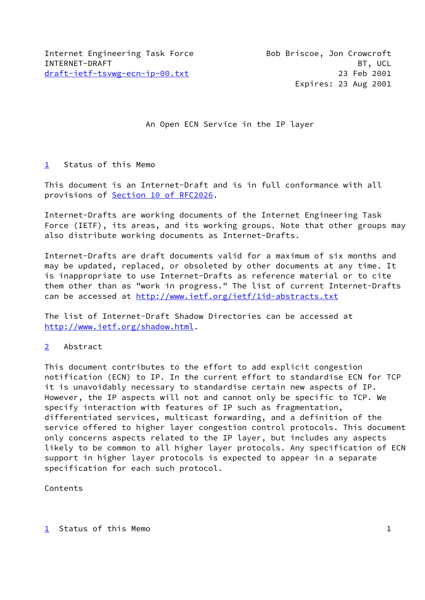An Open ECN Service in the IP layer

## <span id="page-0-0"></span>[1](#page-0-0) Status of this Memo

This document is an Internet-Draft and is in full conformance with all provisions of **Section 10 of RFC2026**.

Internet-Drafts are working documents of the Internet Engineering Task Force (IETF), its areas, and its working groups. Note that other groups may also distribute working documents as Internet-Drafts.

Internet-Drafts are draft documents valid for a maximum of six months and may be updated, replaced, or obsoleted by other documents at any time. It is inappropriate to use Internet-Drafts as reference material or to cite them other than as "work in progress." The list of current Internet-Drafts can be accessed at http://www.ietf.org/ietf/lid-abstracts.txt

The list of Internet-Draft Shadow Directories can be accessed at <http://www.ietf.org/shadow.html>.

## <span id="page-0-1"></span>[2](#page-0-1) Abstract

This document contributes to the effort to add explicit congestion notification (ECN) to IP. In the current effort to standardise ECN for TCP it is unavoidably necessary to standardise certain new aspects of IP. However, the IP aspects will not and cannot only be specific to TCP. We specify interaction with features of IP such as fragmentation, differentiated services, multicast forwarding, and a definition of the service offered to higher layer congestion control protocols. This document only concerns aspects related to the IP layer, but includes any aspects likely to be common to all higher layer protocols. Any specification of ECN support in higher layer protocols is expected to appear in a separate specification for each such protocol.

Contents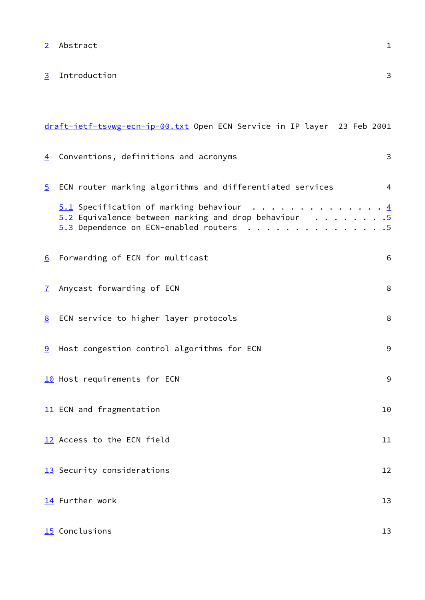[2](#page-0-1) Abstract 1

<span id="page-1-0"></span>[3](#page-1-0) Introduction 3

<span id="page-1-12"></span><span id="page-1-11"></span><span id="page-1-10"></span><span id="page-1-9"></span><span id="page-1-8"></span><span id="page-1-7"></span><span id="page-1-6"></span><span id="page-1-5"></span><span id="page-1-4"></span><span id="page-1-3"></span><span id="page-1-2"></span><span id="page-1-1"></span>

|                  | draft-ietf-tsvwg-ecn-ip-00.txt Open ECN Service in IP layer 23 Feb 2001                                                                     |                                                           |
|------------------|---------------------------------------------------------------------------------------------------------------------------------------------|-----------------------------------------------------------|
| $\overline{4}$   | Conventions, definitions and acronyms                                                                                                       | $\mathbf{3}$                                              |
| $\overline{5}$   | ECN router marking algorithms and differentiated services                                                                                   | 4                                                         |
|                  | $5.1$ Specification of marking behaviour<br>$5.2$ Equivalence between marking and drop behaviour<br>$5.3$ Dependence on ECN-enabled routers | $\cdot$ 4<br>$\cdot\overline{5}$<br>$\cdot \underline{5}$ |
| $6 \overline{6}$ | Forwarding of ECN for multicast                                                                                                             | 6                                                         |
| $\mathcal{I}$    | Anycast forwarding of ECN                                                                                                                   | 8                                                         |
| 8 <sup>2</sup>   | ECN service to higher layer protocols                                                                                                       | 8                                                         |
|                  | <b>9</b> Host congestion control algorithms for ECN                                                                                         | 9                                                         |
|                  | 10 Host requirements for ECN                                                                                                                | 9                                                         |
|                  | 11 ECN and fragmentation                                                                                                                    | 10                                                        |
|                  | 12 Access to the ECN field                                                                                                                  | 11                                                        |
|                  | 13 Security considerations                                                                                                                  | 12                                                        |
|                  | 14 Further work                                                                                                                             | 13                                                        |
|                  | 15 Conclusions                                                                                                                              | 13                                                        |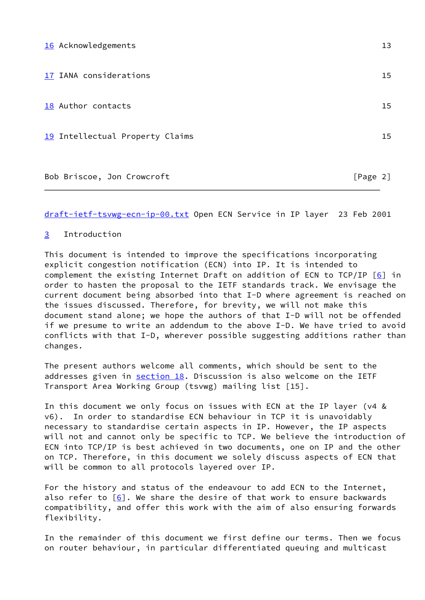<span id="page-2-3"></span><span id="page-2-2"></span><span id="page-2-1"></span><span id="page-2-0"></span>

| 16 Acknowledgements             |          | 13 |
|---------------------------------|----------|----|
| 17 IANA considerations          |          | 15 |
| 18 Author contacts              |          | 15 |
| 19 Intellectual Property Claims |          | 15 |
| Bob Briscoe, Jon Crowcroft      | [Page 2] |    |

# [3](#page-1-0) Introduction

This document is intended to improve the specifications incorporating explicit congestion notification (ECN) into IP. It is intended to complement the existing Internet Draft on addition of ECN to  $TCP/IP [6]$  $TCP/IP [6]$  in order to hasten the proposal to the IETF standards track. We envisage the current document being absorbed into that I-D where agreement is reached on the issues discussed. Therefore, for brevity, we will not make this document stand alone; we hope the authors of that I-D will not be offended if we presume to write an addendum to the above I-D. We have tried to avoid conflicts with that I-D, wherever possible suggesting additions rather than changes.

The present authors welcome all comments, which should be sent to the addresses given in [section 18](#page-2-2). Discussion is also welcome on the IETF Transport Area Working Group (tsvwg) mailing list [15].

In this document we only focus on issues with ECN at the IP layer (v4 & v6). In order to standardise ECN behaviour in TCP it is unavoidably necessary to standardise certain aspects in IP. However, the IP aspects will not and cannot only be specific to TCP. We believe the introduction of ECN into TCP/IP is best achieved in two documents, one on IP and the other on TCP. Therefore, in this document we solely discuss aspects of ECN that will be common to all protocols layered over IP.

For the history and status of the endeavour to add ECN to the Internet, also refer to [[6\]](#page-8-0). We share the desire of that work to ensure backwards compatibility, and offer this work with the aim of also ensuring forwards flexibility.

In the remainder of this document we first define our terms. Then we focus on router behaviour, in particular differentiated queuing and multicast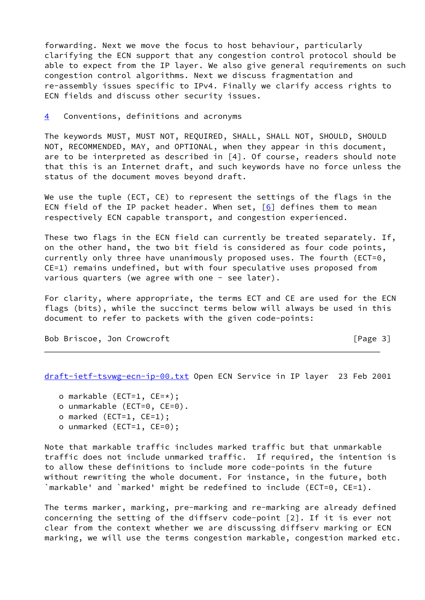forwarding. Next we move the focus to host behaviour, particularly clarifying the ECN support that any congestion control protocol should be able to expect from the IP layer. We also give general requirements on such congestion control algorithms. Next we discuss fragmentation and re-assembly issues specific to IPv4. Finally we clarify access rights to ECN fields and discuss other security issues.

[4](#page-1-1) Conventions, definitions and acronyms

The keywords MUST, MUST NOT, REQUIRED, SHALL, SHALL NOT, SHOULD, SHOULD NOT, RECOMMENDED, MAY, and OPTIONAL, when they appear in this document, are to be interpreted as described in [4]. Of course, readers should note that this is an Internet draft, and such keywords have no force unless the status of the document moves beyond draft.

We use the tuple (ECT, CE) to represent the settings of the flags in the ECN field of the IP packet header. When set,  $[6]$  $[6]$  defines them to mean respectively ECN capable transport, and congestion experienced.

These two flags in the ECN field can currently be treated separately. If, on the other hand, the two bit field is considered as four code points, currently only three have unanimously proposed uses. The fourth (ECT=0, CE=1) remains undefined, but with four speculative uses proposed from various quarters (we agree with one - see later).

For clarity, where appropriate, the terms ECT and CE are used for the ECN flags (bits), while the succinct terms below will always be used in this document to refer to packets with the given code-points:

Bob Briscoe, Jon Crowcroft [Page 3]

<span id="page-3-0"></span>[draft-ietf-tsvwg-ecn-ip-00.txt](https://datatracker.ietf.org/doc/pdf/draft-ietf-tsvwg-ecn-ip-00.txt) Open ECN Service in IP layer 23 Feb 2001

- o markable (ECT=1, CE=\*);
- o unmarkable (ECT=0, CE=0).
- o marked (ECT=1, CE=1);
- o unmarked (ECT=1, CE=0);

Note that markable traffic includes marked traffic but that unmarkable traffic does not include unmarked traffic. If required, the intention is to allow these definitions to include more code-points in the future without rewriting the whole document. For instance, in the future, both `markable' and `marked' might be redefined to include (ECT=0, CE=1).

The terms marker, marking, pre-marking and re-marking are already defined concerning the setting of the diffserv code-point [2]. If it is ever not clear from the context whether we are discussing diffserv marking or ECN marking, we will use the terms congestion markable, congestion marked etc.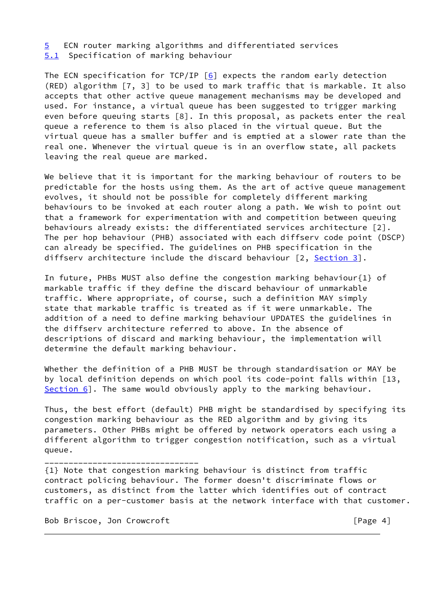[5](#page-1-2) ECN router marking algorithms and differentiated services

<span id="page-4-0"></span>[5.1](#page-4-0) Specification of marking behaviour

The ECN specification for TCP/IP  $[6]$  $[6]$  expects the random early detection (RED) algorithm [7, 3] to be used to mark traffic that is markable. It also accepts that other active queue management mechanisms may be developed and used. For instance, a virtual queue has been suggested to trigger marking even before queuing starts [8]. In this proposal, as packets enter the real queue a reference to them is also placed in the virtual queue. But the virtual queue has a smaller buffer and is emptied at a slower rate than the real one. Whenever the virtual queue is in an overflow state, all packets leaving the real queue are marked.

We believe that it is important for the marking behaviour of routers to be predictable for the hosts using them. As the art of active queue management evolves, it should not be possible for completely different marking behaviours to be invoked at each router along a path. We wish to point out that a framework for experimentation with and competition between queuing behaviours already exists: the differentiated services architecture [2]. The per hop behaviour (PHB) associated with each diffserv code point (DSCP) can already be specified. The guidelines on PHB specification in the diffserv architecture include the discard behaviour  $[2, Section 3]$  $[2, Section 3]$  $[2, Section 3]$ .

In future, PHBs MUST also define the congestion marking behaviour{1} of markable traffic if they define the discard behaviour of unmarkable traffic. Where appropriate, of course, such a definition MAY simply state that markable traffic is treated as if it were unmarkable. The addition of a need to define marking behaviour UPDATES the guidelines in the diffserv architecture referred to above. In the absence of descriptions of discard and marking behaviour, the implementation will determine the default marking behaviour.

Whether the definition of a PHB MUST be through standardisation or MAY be by local definition depends on which pool its code-point falls within [13, [Section 6](#page-1-3)]. The same would obviously apply to the marking behaviour.

Thus, the best effort (default) PHB might be standardised by specifying its congestion marking behaviour as the RED algorithm and by giving its parameters. Other PHBs might be offered by network operators each using a different algorithm to trigger congestion notification, such as a virtual queue.

{1} Note that congestion marking behaviour is distinct from traffic contract policing behaviour. The former doesn't discriminate flows or customers, as distinct from the latter which identifies out of contract traffic on a per-customer basis at the network interface with that customer.

Bob Briscoe, Jon Crowcroft [Page 4]

\_\_\_\_\_\_\_\_\_\_\_\_\_\_\_\_\_\_\_\_\_\_\_\_\_\_\_\_\_\_\_\_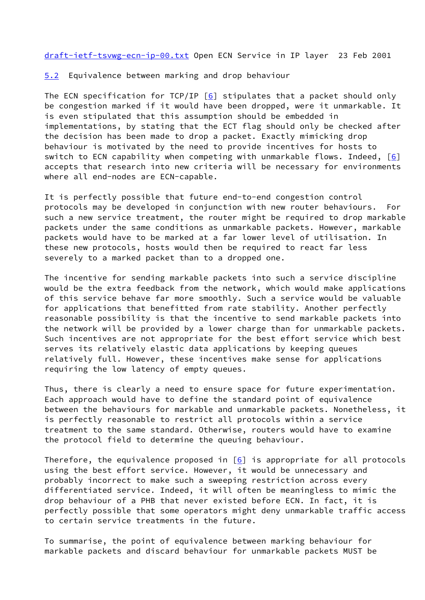<span id="page-5-1"></span><span id="page-5-0"></span>[5.2](#page-5-0) Equivalence between marking and drop behaviour

The ECN specification for TCP/IP  $[6]$  $[6]$  stipulates that a packet should only be congestion marked if it would have been dropped, were it unmarkable. It is even stipulated that this assumption should be embedded in implementations, by stating that the ECT flag should only be checked after the decision has been made to drop a packet. Exactly mimicking drop behaviour is motivated by the need to provide incentives for hosts to switch to ECN capability when competing with unmarkable flows. Indeed,  $[6]$  $[6]$ accepts that research into new criteria will be necessary for environments where all end-nodes are ECN-capable.

It is perfectly possible that future end-to-end congestion control protocols may be developed in conjunction with new router behaviours. For such a new service treatment, the router might be required to drop markable packets under the same conditions as unmarkable packets. However, markable packets would have to be marked at a far lower level of utilisation. In these new protocols, hosts would then be required to react far less severely to a marked packet than to a dropped one.

The incentive for sending markable packets into such a service discipline would be the extra feedback from the network, which would make applications of this service behave far more smoothly. Such a service would be valuable for applications that benefitted from rate stability. Another perfectly reasonable possibility is that the incentive to send markable packets into the network will be provided by a lower charge than for unmarkable packets. Such incentives are not appropriate for the best effort service which best serves its relatively elastic data applications by keeping queues relatively full. However, these incentives make sense for applications requiring the low latency of empty queues.

Thus, there is clearly a need to ensure space for future experimentation. Each approach would have to define the standard point of equivalence between the behaviours for markable and unmarkable packets. Nonetheless, it is perfectly reasonable to restrict all protocols within a service treatment to the same standard. Otherwise, routers would have to examine the protocol field to determine the queuing behaviour.

Therefore, the equivalence proposed in  $[6]$  $[6]$  is appropriate for all protocols using the best effort service. However, it would be unnecessary and probably incorrect to make such a sweeping restriction across every differentiated service. Indeed, it will often be meaningless to mimic the drop behaviour of a PHB that never existed before ECN. In fact, it is perfectly possible that some operators might deny unmarkable traffic access to certain service treatments in the future.

To summarise, the point of equivalence between marking behaviour for markable packets and discard behaviour for unmarkable packets MUST be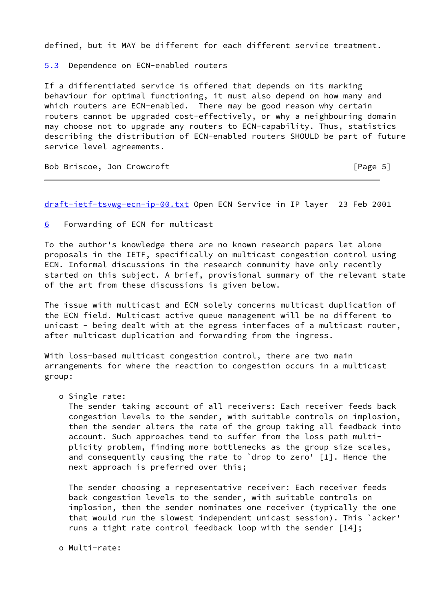defined, but it MAY be different for each different service treatment.

<span id="page-6-0"></span>[5.3](#page-6-0) Dependence on ECN-enabled routers

If a differentiated service is offered that depends on its marking behaviour for optimal functioning, it must also depend on how many and which routers are ECN-enabled. There may be good reason why certain routers cannot be upgraded cost-effectively, or why a neighbouring domain may choose not to upgrade any routers to ECN-capability. Thus, statistics describing the distribution of ECN-enabled routers SHOULD be part of future service level agreements.

Bob Briscoe, Jon Crowcroft [Page 5]

[draft-ietf-tsvwg-ecn-ip-00.txt](https://datatracker.ietf.org/doc/pdf/draft-ietf-tsvwg-ecn-ip-00.txt) Open ECN Service in IP layer 23 Feb 2001

[6](#page-1-3) Forwarding of ECN for multicast

To the author's knowledge there are no known research papers let alone proposals in the IETF, specifically on multicast congestion control using ECN. Informal discussions in the research community have only recently started on this subject. A brief, provisional summary of the relevant state of the art from these discussions is given below.

The issue with multicast and ECN solely concerns multicast duplication of the ECN field. Multicast active queue management will be no different to unicast - being dealt with at the egress interfaces of a multicast router, after multicast duplication and forwarding from the ingress.

With loss-based multicast congestion control, there are two main arrangements for where the reaction to congestion occurs in a multicast group:

o Single rate:

 The sender taking account of all receivers: Each receiver feeds back congestion levels to the sender, with suitable controls on implosion, then the sender alters the rate of the group taking all feedback into account. Such approaches tend to suffer from the loss path multi plicity problem, finding more bottlenecks as the group size scales, and consequently causing the rate to `drop to zero' [1]. Hence the next approach is preferred over this;

 The sender choosing a representative receiver: Each receiver feeds back congestion levels to the sender, with suitable controls on implosion, then the sender nominates one receiver (typically the one that would run the slowest independent unicast session). This `acker' runs a tight rate control feedback loop with the sender [14];

o Multi-rate: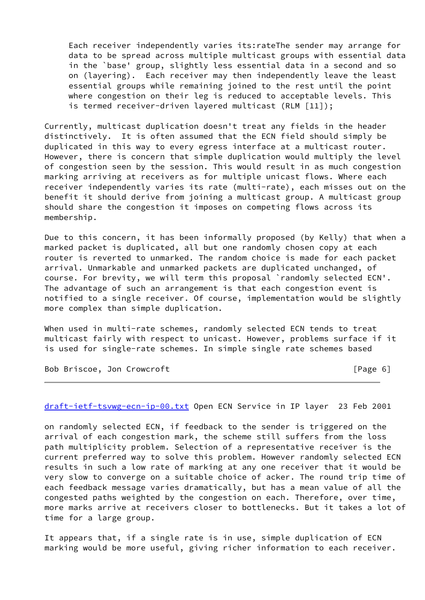Each receiver independently varies its:rateThe sender may arrange for data to be spread across multiple multicast groups with essential data in the `base' group, slightly less essential data in a second and so on (layering). Each receiver may then independently leave the least essential groups while remaining joined to the rest until the point where congestion on their leg is reduced to acceptable levels. This is termed receiver-driven layered multicast (RLM [11]);

Currently, multicast duplication doesn't treat any fields in the header distinctively. It is often assumed that the ECN field should simply be duplicated in this way to every egress interface at a multicast router. However, there is concern that simple duplication would multiply the level of congestion seen by the session. This would result in as much congestion marking arriving at receivers as for multiple unicast flows. Where each receiver independently varies its rate (multi-rate), each misses out on the benefit it should derive from joining a multicast group. A multicast group should share the congestion it imposes on competing flows across its membership.

Due to this concern, it has been informally proposed (by Kelly) that when a marked packet is duplicated, all but one randomly chosen copy at each router is reverted to unmarked. The random choice is made for each packet arrival. Unmarkable and unmarked packets are duplicated unchanged, of course. For brevity, we will term this proposal `randomly selected ECN'. The advantage of such an arrangement is that each congestion event is notified to a single receiver. Of course, implementation would be slightly more complex than simple duplication.

When used in multi-rate schemes, randomly selected ECN tends to treat multicast fairly with respect to unicast. However, problems surface if it is used for single-rate schemes. In simple single rate schemes based

Bob Briscoe, Jon Crowcroft [Page 6]

[draft-ietf-tsvwg-ecn-ip-00.txt](https://datatracker.ietf.org/doc/pdf/draft-ietf-tsvwg-ecn-ip-00.txt) Open ECN Service in IP layer 23 Feb 2001

on randomly selected ECN, if feedback to the sender is triggered on the arrival of each congestion mark, the scheme still suffers from the loss path multiplicity problem. Selection of a representative receiver is the current preferred way to solve this problem. However randomly selected ECN results in such a low rate of marking at any one receiver that it would be very slow to converge on a suitable choice of acker. The round trip time of each feedback message varies dramatically, but has a mean value of all the congested paths weighted by the congestion on each. Therefore, over time, more marks arrive at receivers closer to bottlenecks. But it takes a lot of time for a large group.

It appears that, if a single rate is in use, simple duplication of ECN marking would be more useful, giving richer information to each receiver.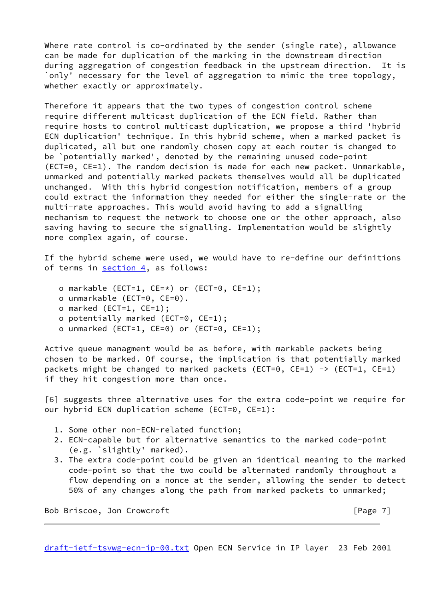Where rate control is co-ordinated by the sender (single rate), allowance can be made for duplication of the marking in the downstream direction during aggregation of congestion feedback in the upstream direction. It is `only' necessary for the level of aggregation to mimic the tree topology, whether exactly or approximately.

Therefore it appears that the two types of congestion control scheme require different multicast duplication of the ECN field. Rather than require hosts to control multicast duplication, we propose a third 'hybrid ECN duplication' technique. In this hybrid scheme, when a marked packet is duplicated, all but one randomly chosen copy at each router is changed to be `potentially marked', denoted by the remaining unused code-point (ECT=0, CE=1). The random decision is made for each new packet. Unmarkable, unmarked and potentially marked packets themselves would all be duplicated unchanged. With this hybrid congestion notification, members of a group could extract the information they needed for either the single-rate or the multi-rate approaches. This would avoid having to add a signalling mechanism to request the network to choose one or the other approach, also saving having to secure the signalling. Implementation would be slightly more complex again, of course.

If the hybrid scheme were used, we would have to re-define our definitions of terms in [section 4](#page-1-1), as follows:

- o markable (ECT=1, CE=\*) or (ECT=0, CE=1);
- o unmarkable (ECT=0, CE=0).
- o marked (ECT=1, CE=1);
- o potentially marked (ECT=0, CE=1);
- o unmarked (ECT=1, CE=0) or (ECT=0, CE=1);

Active queue managment would be as before, with markable packets being chosen to be marked. Of course, the implication is that potentially marked packets might be changed to marked packets (ECT=0, CE=1)  $\rightarrow$  (ECT=1, CE=1) if they hit congestion more than once.

<span id="page-8-0"></span>[6] suggests three alternative uses for the extra code-point we require for our hybrid ECN duplication scheme (ECT=0, CE=1):

- 1. Some other non-ECN-related function;
- 2. ECN-capable but for alternative semantics to the marked code-point (e.g. `slightly' marked).
- 3. The extra code-point could be given an identical meaning to the marked code-point so that the two could be alternated randomly throughout a flow depending on a nonce at the sender, allowing the sender to detect 50% of any changes along the path from marked packets to unmarked;

Bob Briscoe, Jon Crowcroft [Page 7]

[draft-ietf-tsvwg-ecn-ip-00.txt](https://datatracker.ietf.org/doc/pdf/draft-ietf-tsvwg-ecn-ip-00.txt) Open ECN Service in IP layer 23 Feb 2001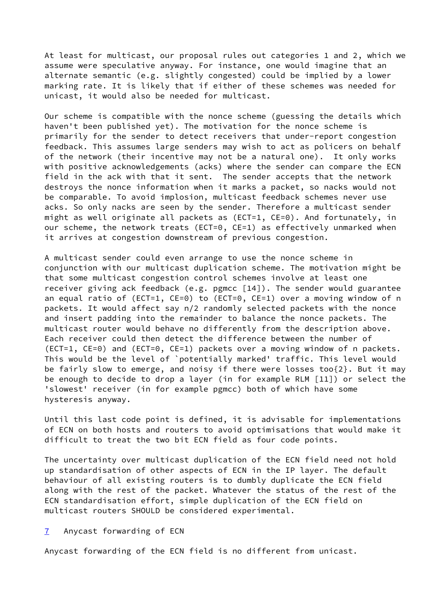At least for multicast, our proposal rules out categories 1 and 2, which we assume were speculative anyway. For instance, one would imagine that an alternate semantic (e.g. slightly congested) could be implied by a lower marking rate. It is likely that if either of these schemes was needed for unicast, it would also be needed for multicast.

Our scheme is compatible with the nonce scheme (guessing the details which haven't been published yet). The motivation for the nonce scheme is primarily for the sender to detect receivers that under-report congestion feedback. This assumes large senders may wish to act as policers on behalf of the network (their incentive may not be a natural one). It only works with positive acknowledgements (acks) where the sender can compare the ECN field in the ack with that it sent. The sender accepts that the network destroys the nonce information when it marks a packet, so nacks would not be comparable. To avoid implosion, multicast feedback schemes never use acks. So only nacks are seen by the sender. Therefore a multicast sender might as well originate all packets as (ECT=1, CE=0). And fortunately, in our scheme, the network treats (ECT=0, CE=1) as effectively unmarked when it arrives at congestion downstream of previous congestion.

A multicast sender could even arrange to use the nonce scheme in conjunction with our multicast duplication scheme. The motivation might be that some multicast congestion control schemes involve at least one receiver giving ack feedback (e.g. pgmcc [14]). The sender would guarantee an equal ratio of (ECT=1, CE=0) to (ECT=0, CE=1) over a moving window of n packets. It would affect say n/2 randomly selected packets with the nonce and insert padding into the remainder to balance the nonce packets. The multicast router would behave no differently from the description above. Each receiver could then detect the difference between the number of (ECT=1, CE=0) and (ECT=0, CE=1) packets over a moving window of n packets. This would be the level of `potentially marked' traffic. This level would be fairly slow to emerge, and noisy if there were losses too{2}. But it may be enough to decide to drop a layer (in for example RLM [11]) or select the 'slowest' receiver (in for example pgmcc) both of which have some hysteresis anyway.

Until this last code point is defined, it is advisable for implementations of ECN on both hosts and routers to avoid optimisations that would make it difficult to treat the two bit ECN field as four code points.

The uncertainty over multicast duplication of the ECN field need not hold up standardisation of other aspects of ECN in the IP layer. The default behaviour of all existing routers is to dumbly duplicate the ECN field along with the rest of the packet. Whatever the status of the rest of the ECN standardisation effort, simple duplication of the ECN field on multicast routers SHOULD be considered experimental.

### [7](#page-1-4) Anycast forwarding of ECN

Anycast forwarding of the ECN field is no different from unicast.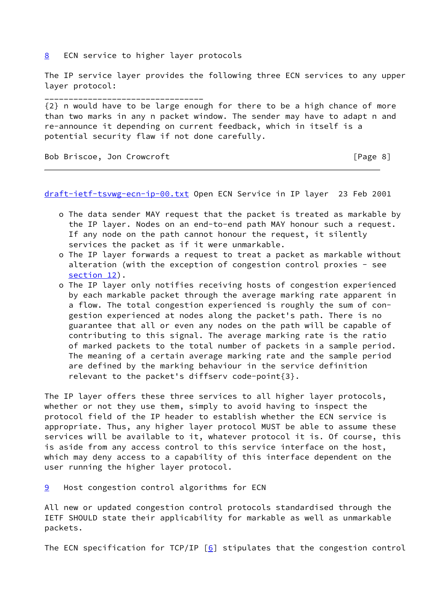[8](#page-1-5) ECN service to higher layer protocols

\_\_\_\_\_\_\_\_\_\_\_\_\_\_\_\_\_\_\_\_\_\_\_\_\_\_\_\_\_\_\_\_\_

The IP service layer provides the following three ECN services to any upper layer protocol:

{2} n would have to be large enough for there to be a high chance of more than two marks in any n packet window. The sender may have to adapt n and re-announce it depending on current feedback, which in itself is a potential security flaw if not done carefully.

Bob Briscoe, Jon Crowcroft [Page 8]

[draft-ietf-tsvwg-ecn-ip-00.txt](https://datatracker.ietf.org/doc/pdf/draft-ietf-tsvwg-ecn-ip-00.txt) Open ECN Service in IP layer 23 Feb 2001

- o The data sender MAY request that the packet is treated as markable by the IP layer. Nodes on an end-to-end path MAY honour such a request. If any node on the path cannot honour the request, it silently services the packet as if it were unmarkable.
- o The IP layer forwards a request to treat a packet as markable without alteration (with the exception of congestion control proxies - see [section 12\)](#page-1-9).
- o The IP layer only notifies receiving hosts of congestion experienced by each markable packet through the average marking rate apparent in a flow. The total congestion experienced is roughly the sum of con gestion experienced at nodes along the packet's path. There is no guarantee that all or even any nodes on the path will be capable of contributing to this signal. The average marking rate is the ratio of marked packets to the total number of packets in a sample period. The meaning of a certain average marking rate and the sample period are defined by the marking behaviour in the service definition relevant to the packet's diffserv code-point{3}.

The IP layer offers these three services to all higher layer protocols, whether or not they use them, simply to avoid having to inspect the protocol field of the IP header to establish whether the ECN service is appropriate. Thus, any higher layer protocol MUST be able to assume these services will be available to it, whatever protocol it is. Of course, this is aside from any access control to this service interface on the host, which may deny access to a capability of this interface dependent on the user running the higher layer protocol.

[9](#page-1-6) Host congestion control algorithms for ECN

All new or updated congestion control protocols standardised through the IETF SHOULD state their applicability for markable as well as unmarkable packets.

The ECN specification for TCP/IP  $[6]$  $[6]$  stipulates that the congestion control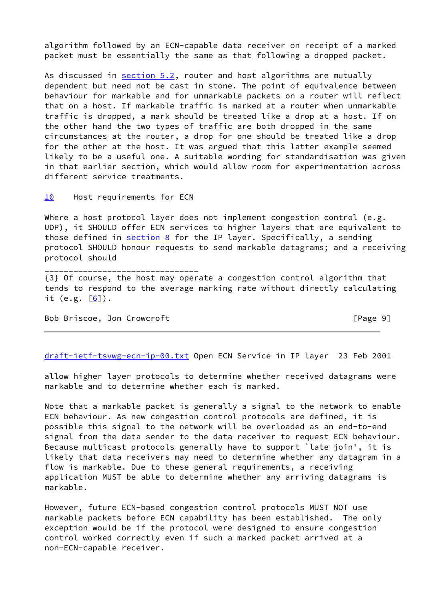algorithm followed by an ECN-capable data receiver on receipt of a marked packet must be essentially the same as that following a dropped packet.

As discussed in **section 5.2**, router and host algorithms are mutually dependent but need not be cast in stone. The point of equivalence between behaviour for markable and for unmarkable packets on a router will reflect that on a host. If markable traffic is marked at a router when unmarkable traffic is dropped, a mark should be treated like a drop at a host. If on the other hand the two types of traffic are both dropped in the same circumstances at the router, a drop for one should be treated like a drop for the other at the host. It was argued that this latter example seemed likely to be a useful one. A suitable wording for standardisation was given in that earlier section, which would allow room for experimentation across different service treatments.

[10](#page-1-7) Host requirements for ECN

\_\_\_\_\_\_\_\_\_\_\_\_\_\_\_\_\_\_\_\_\_\_\_\_\_\_\_\_\_\_\_\_

Where a host protocol layer does not implement congestion control (e.g. UDP), it SHOULD offer ECN services to higher layers that are equivalent to those defined in  $section 8$  for the IP layer. Specifically, a sending protocol SHOULD honour requests to send markable datagrams; and a receiving protocol should

{3} Of course, the host may operate a congestion control algorithm that tends to respond to the average marking rate without directly calculating it (e.g.  $[6]$  $[6]$ ).

Bob Briscoe, Jon Crowcroft [Page 9]

[draft-ietf-tsvwg-ecn-ip-00.txt](https://datatracker.ietf.org/doc/pdf/draft-ietf-tsvwg-ecn-ip-00.txt) Open ECN Service in IP layer 23 Feb 2001

allow higher layer protocols to determine whether received datagrams were markable and to determine whether each is marked.

Note that a markable packet is generally a signal to the network to enable ECN behaviour. As new congestion control protocols are defined, it is possible this signal to the network will be overloaded as an end-to-end signal from the data sender to the data receiver to request ECN behaviour. Because multicast protocols generally have to support `late join', it is likely that data receivers may need to determine whether any datagram in a flow is markable. Due to these general requirements, a receiving application MUST be able to determine whether any arriving datagrams is markable.

However, future ECN-based congestion control protocols MUST NOT use markable packets before ECN capability has been established. The only exception would be if the protocol were designed to ensure congestion control worked correctly even if such a marked packet arrived at a non-ECN-capable receiver.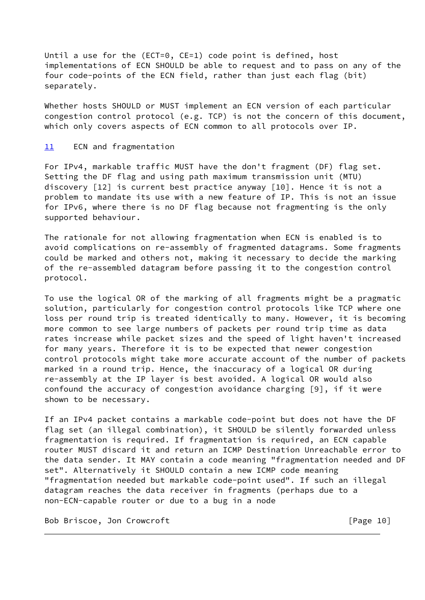Until a use for the (ECT=0, CE=1) code point is defined, host implementations of ECN SHOULD be able to request and to pass on any of the four code-points of the ECN field, rather than just each flag (bit) separately.

Whether hosts SHOULD or MUST implement an ECN version of each particular congestion control protocol (e.g. TCP) is not the concern of this document, which only covers aspects of ECN common to all protocols over IP.

#### [11](#page-1-8) ECN and fragmentation

For IPv4, markable traffic MUST have the don't fragment (DF) flag set. Setting the DF flag and using path maximum transmission unit (MTU) discovery [12] is current best practice anyway [10]. Hence it is not a problem to mandate its use with a new feature of IP. This is not an issue for IPv6, where there is no DF flag because not fragmenting is the only supported behaviour.

The rationale for not allowing fragmentation when ECN is enabled is to avoid complications on re-assembly of fragmented datagrams. Some fragments could be marked and others not, making it necessary to decide the marking of the re-assembled datagram before passing it to the congestion control protocol.

To use the logical OR of the marking of all fragments might be a pragmatic solution, particularly for congestion control protocols like TCP where one loss per round trip is treated identically to many. However, it is becoming more common to see large numbers of packets per round trip time as data rates increase while packet sizes and the speed of light haven't increased for many years. Therefore it is to be expected that newer congestion control protocols might take more accurate account of the number of packets marked in a round trip. Hence, the inaccuracy of a logical OR during re-assembly at the IP layer is best avoided. A logical OR would also confound the accuracy of congestion avoidance charging [9], if it were shown to be necessary.

If an IPv4 packet contains a markable code-point but does not have the DF flag set (an illegal combination), it SHOULD be silently forwarded unless fragmentation is required. If fragmentation is required, an ECN capable router MUST discard it and return an ICMP Destination Unreachable error to the data sender. It MAY contain a code meaning "fragmentation needed and DF set". Alternatively it SHOULD contain a new ICMP code meaning "fragmentation needed but markable code-point used". If such an illegal datagram reaches the data receiver in fragments (perhaps due to a non-ECN-capable router or due to a bug in a node

Bob Briscoe, Jon Crowcroft [Page 10]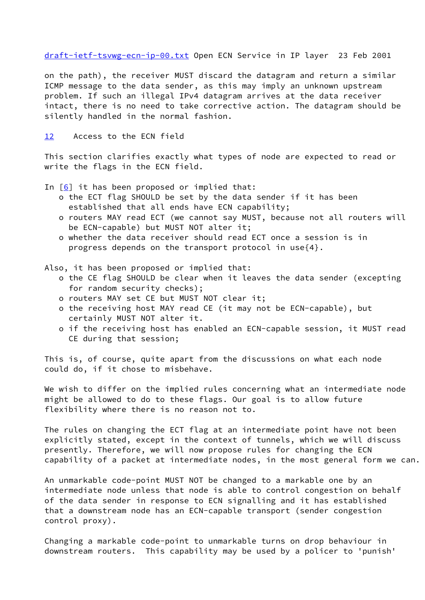on the path), the receiver MUST discard the datagram and return a similar ICMP message to the data sender, as this may imply an unknown upstream problem. If such an illegal IPv4 datagram arrives at the data receiver intact, there is no need to take corrective action. The datagram should be silently handled in the normal fashion.

### [12](#page-1-9) Access to the ECN field

This section clarifies exactly what types of node are expected to read or write the flags in the ECN field.

In  $[6]$  $[6]$  it has been proposed or implied that:

- o the ECT flag SHOULD be set by the data sender if it has been established that all ends have ECN capability;
- o routers MAY read ECT (we cannot say MUST, because not all routers will be ECN-capable) but MUST NOT alter it;
- o whether the data receiver should read ECT once a session is in progress depends on the transport protocol in use{4}.

Also, it has been proposed or implied that:

- o the CE flag SHOULD be clear when it leaves the data sender (excepting for random security checks);
- o routers MAY set CE but MUST NOT clear it;
- o the receiving host MAY read CE (it may not be ECN-capable), but certainly MUST NOT alter it.
- o if the receiving host has enabled an ECN-capable session, it MUST read CE during that session;

This is, of course, quite apart from the discussions on what each node could do, if it chose to misbehave.

We wish to differ on the implied rules concerning what an intermediate node might be allowed to do to these flags. Our goal is to allow future flexibility where there is no reason not to.

The rules on changing the ECT flag at an intermediate point have not been explicitly stated, except in the context of tunnels, which we will discuss presently. Therefore, we will now propose rules for changing the ECN capability of a packet at intermediate nodes, in the most general form we can.

An unmarkable code-point MUST NOT be changed to a markable one by an intermediate node unless that node is able to control congestion on behalf of the data sender in response to ECN signalling and it has established that a downstream node has an ECN-capable transport (sender congestion control proxy).

Changing a markable code-point to unmarkable turns on drop behaviour in downstream routers. This capability may be used by a policer to 'punish'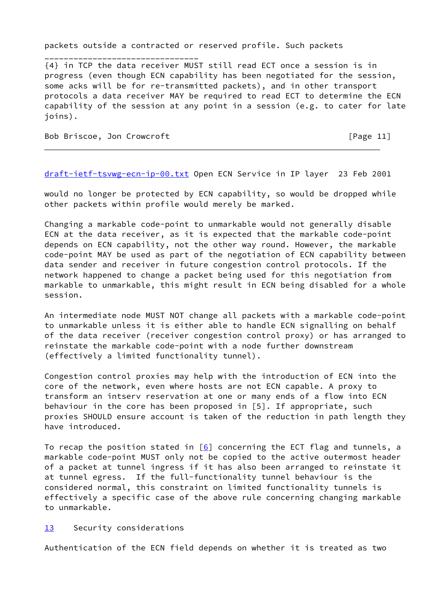packets outside a contracted or reserved profile. Such packets

{4} in TCP the data receiver MUST still read ECT once a session is in progress (even though ECN capability has been negotiated for the session, some acks will be for re-transmitted packets), and in other transport protocols a data receiver MAY be required to read ECT to determine the ECN capability of the session at any point in a session (e.g. to cater for late joins).

Bob Briscoe, Jon Crowcroft [Page 11]

\_\_\_\_\_\_\_\_\_\_\_\_\_\_\_\_\_\_\_\_\_\_\_\_\_\_\_\_\_\_\_\_

[draft-ietf-tsvwg-ecn-ip-00.txt](https://datatracker.ietf.org/doc/pdf/draft-ietf-tsvwg-ecn-ip-00.txt) Open ECN Service in IP layer 23 Feb 2001

would no longer be protected by ECN capability, so would be dropped while other packets within profile would merely be marked.

Changing a markable code-point to unmarkable would not generally disable ECN at the data receiver, as it is expected that the markable code-point depends on ECN capability, not the other way round. However, the markable code-point MAY be used as part of the negotiation of ECN capability between data sender and receiver in future congestion control protocols. If the network happened to change a packet being used for this negotiation from markable to unmarkable, this might result in ECN being disabled for a whole session.

An intermediate node MUST NOT change all packets with a markable code-point to unmarkable unless it is either able to handle ECN signalling on behalf of the data receiver (receiver congestion control proxy) or has arranged to reinstate the markable code-point with a node further downstream (effectively a limited functionality tunnel).

Congestion control proxies may help with the introduction of ECN into the core of the network, even where hosts are not ECN capable. A proxy to transform an intserv reservation at one or many ends of a flow into ECN behaviour in the core has been proposed in [5]. If appropriate, such proxies SHOULD ensure account is taken of the reduction in path length they have introduced.

To recap the position stated in  $[6]$  concerning the ECT flag and tunnels, a markable code-point MUST only not be copied to the active outermost header of a packet at tunnel ingress if it has also been arranged to reinstate it at tunnel egress. If the full-functionality tunnel behaviour is the considered normal, this constraint on limited functionality tunnels is effectively a specific case of the above rule concerning changing markable to unmarkable.

[13](#page-1-10) Security considerations

Authentication of the ECN field depends on whether it is treated as two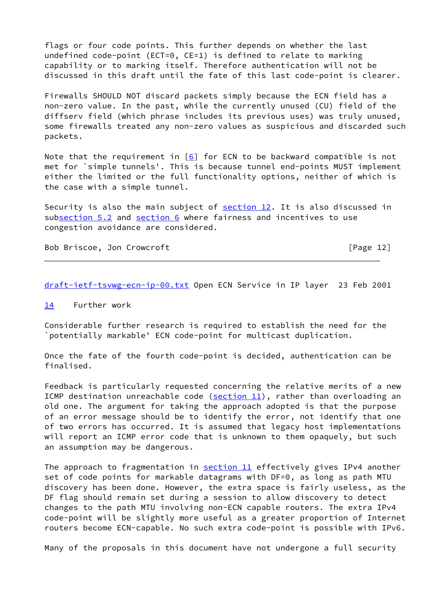flags or four code points. This further depends on whether the last undefined code-point (ECT=0, CE=1) is defined to relate to marking capability or to marking itself. Therefore authentication will not be discussed in this draft until the fate of this last code-point is clearer.

Firewalls SHOULD NOT discard packets simply because the ECN field has a non-zero value. In the past, while the currently unused (CU) field of the diffserv field (which phrase includes its previous uses) was truly unused, some firewalls treated any non-zero values as suspicious and discarded such packets.

Note that the requirement in  $[6]$  $[6]$  for ECN to be backward compatible is not met for `simple tunnels'. This is because tunnel end-points MUST implement either the limited or the full functionality options, neither of which is the case with a simple tunnel.

Security is also the main subject of [section 12.](#page-1-9) It is also discussed in su[bsection 5.2](#page-5-0) and [section 6](#page-1-3) where fairness and incentives to use congestion avoidance are considered.

Bob Briscoe, Jon Crowcroft [Page 12]

[draft-ietf-tsvwg-ecn-ip-00.txt](https://datatracker.ietf.org/doc/pdf/draft-ietf-tsvwg-ecn-ip-00.txt) Open ECN Service in IP layer 23 Feb 2001

#### [14](#page-1-11) Further work

Considerable further research is required to establish the need for the `potentially markable' ECN code-point for multicast duplication.

Once the fate of the fourth code-point is decided, authentication can be finalised.

Feedback is particularly requested concerning the relative merits of a new ICMP destination unreachable code ( $section 11$ ), rather than overloading an old one. The argument for taking the approach adopted is that the purpose of an error message should be to identify the error, not identify that one of two errors has occurred. It is assumed that legacy host implementations will report an ICMP error code that is unknown to them opaquely, but such an assumption may be dangerous.

The approach to fragmentation in **section 11** effectively gives IPv4 another set of code points for markable datagrams with DF=0, as long as path MTU discovery has been done. However, the extra space is fairly useless, as the DF flag should remain set during a session to allow discovery to detect changes to the path MTU involving non-ECN capable routers. The extra IPv4 code-point will be slightly more useful as a greater proportion of Internet routers become ECN-capable. No such extra code-point is possible with IPv6.

Many of the proposals in this document have not undergone a full security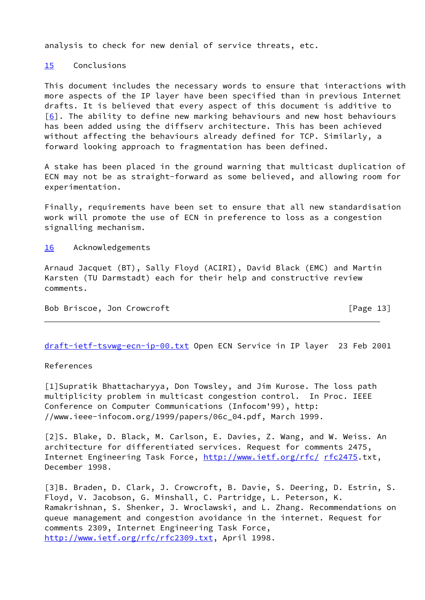analysis to check for new denial of service threats, etc.

[15](#page-1-12) Conclusions

This document includes the necessary words to ensure that interactions with more aspects of the IP layer have been specified than in previous Internet drafts. It is believed that every aspect of this document is additive to  $[6]$ . The ability to define new marking behaviours and new host behaviours has been added using the diffserv architecture. This has been achieved without affecting the behaviours already defined for TCP. Similarly, a forward looking approach to fragmentation has been defined.

A stake has been placed in the ground warning that multicast duplication of ECN may not be as straight-forward as some believed, and allowing room for experimentation.

Finally, requirements have been set to ensure that all new standardisation work will promote the use of ECN in preference to loss as a congestion signalling mechanism.

### [16](#page-2-0) Acknowledgements

Arnaud Jacquet (BT), Sally Floyd (ACIRI), David Black (EMC) and Martin Karsten (TU Darmstadt) each for their help and constructive review comments.

Bob Briscoe, Jon Crowcroft [Page 13]

[draft-ietf-tsvwg-ecn-ip-00.txt](https://datatracker.ietf.org/doc/pdf/draft-ietf-tsvwg-ecn-ip-00.txt) Open ECN Service in IP layer 23 Feb 2001

References

[1]Supratik Bhattacharyya, Don Towsley, and Jim Kurose. The loss path multiplicity problem in multicast congestion control. In Proc. IEEE Conference on Computer Communications (Infocom'99), http: //www.ieee-infocom.org/1999/papers/06c\_04.pdf, March 1999.

[2]S. Blake, D. Black, M. Carlson, E. Davies, Z. Wang, and W. Weiss. An architecture for differentiated services. Request for comments 2475, Internet Engineering Task Force,<http://www.ietf.org/rfc/> [rfc2475](https://datatracker.ietf.org/doc/pdf/rfc2475).txt, December 1998.

[3]B. Braden, D. Clark, J. Crowcroft, B. Davie, S. Deering, D. Estrin, S. Floyd, V. Jacobson, G. Minshall, C. Partridge, L. Peterson, K. Ramakrishnan, S. Shenker, J. Wroclawski, and L. Zhang. Recommendations on queue management and congestion avoidance in the internet. Request for comments 2309, Internet Engineering Task Force, <http://www.ietf.org/rfc/rfc2309.txt>, April 1998.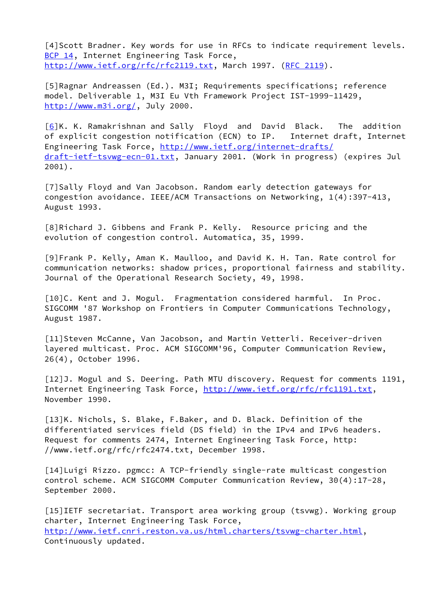[4]Scott Bradner. Key words for use in RFCs to indicate requirement levels. [BCP 14](https://datatracker.ietf.org/doc/pdf/bcp14), Internet Engineering Task Force, <http://www.ietf.org/rfc/rfc2119.txt>, March 1997. ([RFC 2119\)](https://datatracker.ietf.org/doc/pdf/rfc2119).

[5]Ragnar Andreassen (Ed.). M3I; Requirements specifications; reference model. Deliverable 1, M3I Eu Vth Framework Project IST-1999-11429, <http://www.m3i.org/>, July 2000.

[\[6\]](#page-8-0)K. K. Ramakrishnan and Sally Floyd and David Black. The addition of explicit congestion notification (ECN) to IP. Internet draft, Internet Engineering Task Force,<http://www.ietf.org/internet-drafts/> [draft-ietf-tsvwg-ecn-01.txt](https://datatracker.ietf.org/doc/pdf/draft-ietf-tsvwg-ecn-01.txt), January 2001. (Work in progress) (expires Jul 2001).

[7]Sally Floyd and Van Jacobson. Random early detection gateways for congestion avoidance. IEEE/ACM Transactions on Networking, 1(4):397-413, August 1993.

[8]Richard J. Gibbens and Frank P. Kelly. Resource pricing and the evolution of congestion control. Automatica, 35, 1999.

[9]Frank P. Kelly, Aman K. Maulloo, and David K. H. Tan. Rate control for communication networks: shadow prices, proportional fairness and stability. Journal of the Operational Research Society, 49, 1998.

[10]C. Kent and J. Mogul. Fragmentation considered harmful. In Proc. SIGCOMM '87 Workshop on Frontiers in Computer Communications Technology, August 1987.

[11]Steven McCanne, Van Jacobson, and Martin Vetterli. Receiver-driven layered multicast. Proc. ACM SIGCOMM'96, Computer Communication Review, 26(4), October 1996.

[12]J. Mogul and S. Deering. Path MTU discovery. Request for comments 1191, Internet Engineering Task Force,<http://www.ietf.org/rfc/rfc1191.txt>, November 1990.

[13]K. Nichols, S. Blake, F.Baker, and D. Black. Definition of the differentiated services field (DS field) in the IPv4 and IPv6 headers. Request for comments 2474, Internet Engineering Task Force, http: //www.ietf.org/rfc/rfc2474.txt, December 1998.

[14]Luigi Rizzo. pgmcc: A TCP-friendly single-rate multicast congestion control scheme. ACM SIGCOMM Computer Communication Review, 30(4):17-28, September 2000.

[15]IETF secretariat. Transport area working group (tsvwg). Working group charter, Internet Engineering Task Force, [http://www.ietf.cnri.reston.va.us/html.charters/tsvwg-charter.html,](http://www.ietf.cnri.reston.va.us/html.charters/tsvwg-charter.html) Continuously updated.